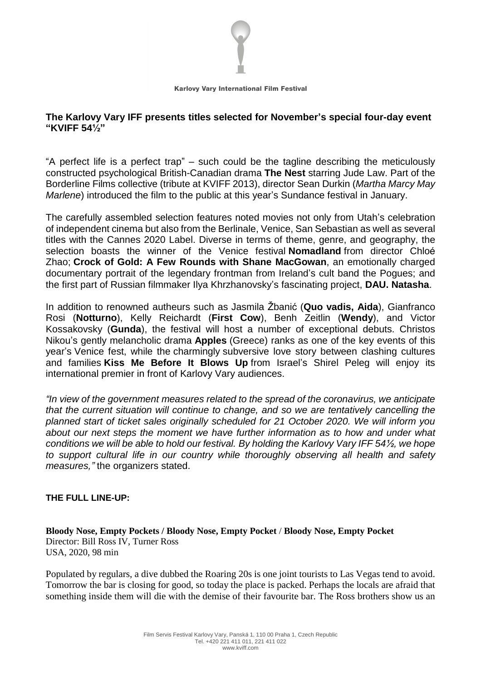

# **The Karlovy Vary IFF presents titles selected for November's special four-day event "KVIFF 54½"**

"A perfect life is a perfect trap" – such could be the tagline describing the meticulously constructed psychological British-Canadian drama **The Nest** starring Jude Law. Part of the Borderline Films collective (tribute at KVIFF 2013), director Sean Durkin (*Martha Marcy May Marlene*) introduced the film to the public at this year's Sundance festival in January.

The carefully assembled selection features noted movies not only from Utah's celebration of independent cinema but also from the Berlinale, Venice, San Sebastian as well as several titles with the Cannes 2020 Label. Diverse in terms of theme, genre, and geography, the selection boasts the winner of the Venice festival **Nomadland** from director Chloé Zhao; **Crock of Gold: A Few Rounds with Shane MacGowan**, an emotionally charged documentary portrait of the legendary frontman from Ireland's cult band the Pogues; and the first part of Russian filmmaker Ilya Khrzhanovsky's fascinating project, **DAU. Natasha**.

In addition to renowned autheurs such as Jasmila Žbanić (**Quo vadis, Aida**), Gianfranco Rosi (**Notturno**), Kelly Reichardt (**First Cow**), Benh Zeitlin (**Wendy**), and Victor Kossakovsky (**Gunda**), the festival will host a number of exceptional debuts. Christos Nikou's gently melancholic drama **Apples** (Greece) ranks as one of the key events of this year's Venice fest, while the charmingly subversive love story between clashing cultures and families **Kiss Me Before It Blows Up** from Israel's Shirel Peleg will enjoy its international premier in front of Karlovy Vary audiences.

*"In view of the government measures related to the spread of the coronavirus, we anticipate that the current situation will continue to change, and so we are tentatively cancelling the planned start of ticket sales originally scheduled for 21 October 2020. We will inform you about our next steps the moment we have further information as to how and under what conditions we will be able to hold our festival. By holding the Karlovy Vary IFF 54½, we hope to support cultural life in our country while thoroughly observing all health and safety measures,"* the organizers stated.

# **THE FULL LINE-UP:**

**Bloody Nose, Empty Pockets / Bloody Nose, Empty Pocket** / **Bloody Nose, Empty Pocket** Director: Bill Ross IV, Turner Ross USA, 2020, 98 min

Populated by regulars, a dive dubbed the Roaring 20s is one joint tourists to Las Vegas tend to avoid. Tomorrow the bar is closing for good, so today the place is packed. Perhaps the locals are afraid that something inside them will die with the demise of their favourite bar. The Ross brothers show us an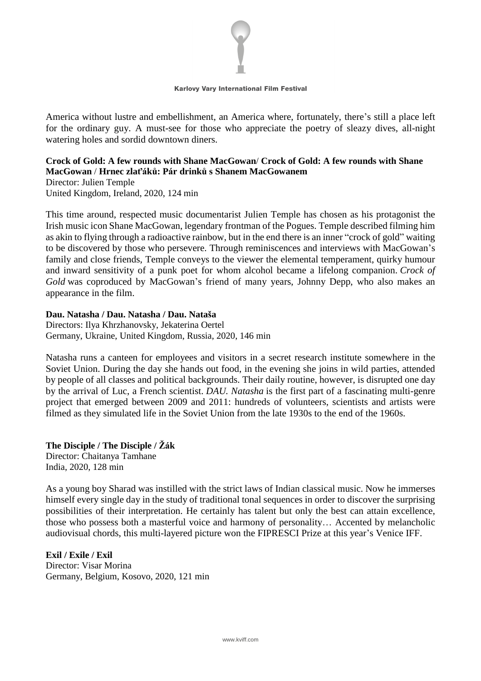

America without lustre and embellishment, an America where, fortunately, there's still a place left for the ordinary guy. A must-see for those who appreciate the poetry of sleazy dives, all-night watering holes and sordid downtown diners.

# **Crock of Gold: A few rounds with Shane MacGowan**/ **Crock of Gold: A few rounds with Shane MacGowan** / **Hrnec zlaťáků: Pár drinků s Shanem MacGowanem**

Director: Julien Temple United Kingdom, Ireland, 2020, 124 min

This time around, respected music documentarist Julien Temple has chosen as his protagonist the Irish music icon Shane MacGowan, legendary frontman of the Pogues. Temple described filming him as akin to flying through a radioactive rainbow, but in the end there is an inner "crock of gold" waiting to be discovered by those who persevere. Through reminiscences and interviews with MacGowan's family and close friends, Temple conveys to the viewer the elemental temperament, quirky humour and inward sensitivity of a punk poet for whom alcohol became a lifelong companion. *Crock of Gold* was coproduced by MacGowan's friend of many years, Johnny Depp, who also makes an appearance in the film.

# **Dau. Natasha / Dau. Natasha / Dau. Nataša**

Directors: Ilya Khrzhanovsky, Jekaterina Oertel Germany, Ukraine, United Kingdom, Russia, 2020, 146 min

Natasha runs a canteen for employees and visitors in a secret research institute somewhere in the Soviet Union. During the day she hands out food, in the evening she joins in wild parties, attended by people of all classes and political backgrounds. Their daily routine, however, is disrupted one day by the arrival of Luc, a French scientist. *DAU. Natasha* is the first part of a fascinating multi-genre project that emerged between 2009 and 2011: hundreds of volunteers, scientists and artists were filmed as they simulated life in the Soviet Union from the late 1930s to the end of the 1960s.

## **The Disciple / The Disciple / Žák**

Director: Chaitanya Tamhane India, 2020, 128 min

As a young boy Sharad was instilled with the strict laws of Indian classical music. Now he immerses himself every single day in the study of traditional tonal sequences in order to discover the surprising possibilities of their interpretation. He certainly has talent but only the best can attain excellence, those who possess both a masterful voice and harmony of personality… Accented by melancholic audiovisual chords, this multi-layered picture won the FIPRESCI Prize at this year's Venice IFF.

# **Exil / Exile / Exil**

Director: Visar Morina Germany, Belgium, Kosovo, 2020, 121 min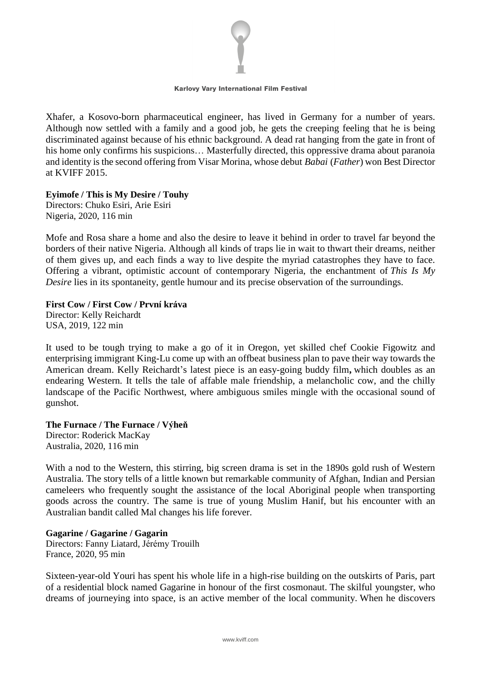

Xhafer, a Kosovo-born pharmaceutical engineer, has lived in Germany for a number of years. Although now settled with a family and a good job, he gets the creeping feeling that he is being discriminated against because of his ethnic background. A dead rat hanging from the gate in front of his home only confirms his suspicions... Masterfully directed, this oppressive drama about paranoia and identity is the second offering from Visar Morina, whose debut *Babai* (*Father*) won Best Director at KVIFF 2015.

#### **Eyimofe / This is My Desire / Touhy**

Directors: Chuko Esiri, Arie Esiri Nigeria, 2020, 116 min

Mofe and Rosa share a home and also the desire to leave it behind in order to travel far beyond the borders of their native Nigeria. Although all kinds of traps lie in wait to thwart their dreams, neither of them gives up, and each finds a way to live despite the myriad catastrophes they have to face. Offering a vibrant, optimistic account of contemporary Nigeria, the enchantment of *This Is My Desire* lies in its spontaneity, gentle humour and its precise observation of the surroundings.

#### **First Cow / First Cow / První kráva**

Director: Kelly Reichardt USA, 2019, 122 min

It used to be tough trying to make a go of it in Oregon, yet skilled chef Cookie Figowitz and enterprising immigrant King-Lu come up with an offbeat business plan to pave their way towards the American dream. Kelly Reichardt's latest piece is an easy-going buddy film**,** which doubles as an endearing Western. It tells the tale of affable male friendship, a melancholic cow, and the chilly landscape of the Pacific Northwest, where ambiguous smiles mingle with the occasional sound of gunshot.

#### **The Furnace / The Furnace / Výheň**

Director: Roderick MacKay Australia, 2020, 116 min

With a nod to the Western, this stirring, big screen drama is set in the 1890s gold rush of Western Australia. The story tells of a little known but remarkable community of Afghan, Indian and Persian cameleers who frequently sought the assistance of the local Aboriginal people when transporting goods across the country. The same is true of young Muslim Hanif, but his encounter with an Australian bandit called Mal changes his life forever.

## **Gagarine / Gagarine / Gagarin**

Directors: Fanny Liatard, Jérémy Trouilh France, 2020, 95 min

Sixteen-year-old Youri has spent his whole life in a high-rise building on the outskirts of Paris, part of a residential block named Gagarine in honour of the first cosmonaut. The skilful youngster, who dreams of journeying into space, is an active member of the local community. When he discovers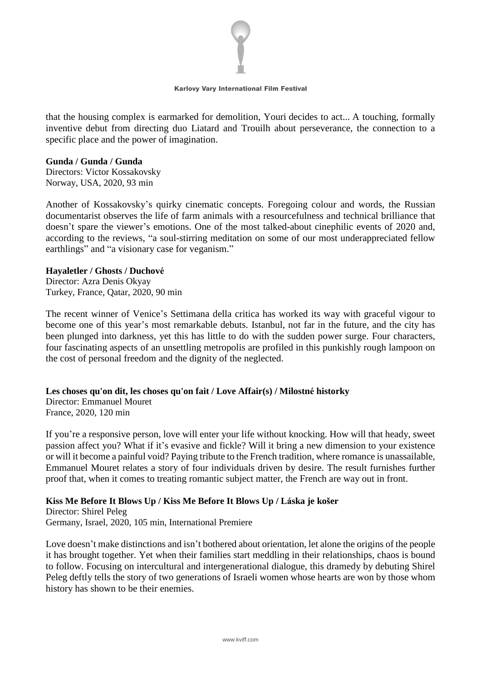

that the housing complex is earmarked for demolition, Youri decides to act... A touching, formally inventive debut from directing duo Liatard and Trouilh about perseverance, the connection to a specific place and the power of imagination.

#### **Gunda / Gunda / Gunda**

Directors: Victor Kossakovsky Norway, USA, 2020, 93 min

Another of Kossakovsky's quirky cinematic concepts. Foregoing colour and words, the Russian documentarist observes the life of farm animals with a resourcefulness and technical brilliance that doesn't spare the viewer's emotions. One of the most talked-about cinephilic events of 2020 and, according to the reviews, "a soul-stirring meditation on some of our most underappreciated fellow earthlings" and "a visionary case for veganism."

#### **Hayaletler / Ghosts / Duchové**

Director: Azra Denis Okyay Turkey, France, Qatar, 2020, 90 min

The recent winner of Venice's Settimana della critica has worked its way with graceful vigour to become one of this year's most remarkable debuts. Istanbul, not far in the future, and the city has been plunged into darkness, yet this has little to do with the sudden power surge. Four characters, four fascinating aspects of an unsettling metropolis are profiled in this punkishly rough lampoon on the cost of personal freedom and the dignity of the neglected.

**Les choses qu'on dit, les choses qu'on fait / Love Affair(s) / Milostné historky**

Director: Emmanuel Mouret France, 2020, 120 min

If you're a responsive person, love will enter your life without knocking. How will that heady, sweet passion affect you? What if it's evasive and fickle? Will it bring a new dimension to your existence or will it become a painful void? Paying tribute to the French tradition, where romance is unassailable, Emmanuel Mouret relates a story of four individuals driven by desire. The result furnishes further proof that, when it comes to treating romantic subject matter, the French are way out in front.

## **Kiss Me Before It Blows Up / Kiss Me Before It Blows Up / Láska je košer**

Director: Shirel Peleg Germany, Israel, 2020, 105 min, International Premiere

Love doesn't make distinctions and isn't bothered about orientation, let alone the origins of the people it has brought together. Yet when their families start meddling in their relationships, chaos is bound to follow. Focusing on intercultural and intergenerational dialogue, this dramedy by debuting Shirel Peleg deftly tells the story of two generations of Israeli women whose hearts are won by those whom history has shown to be their enemies.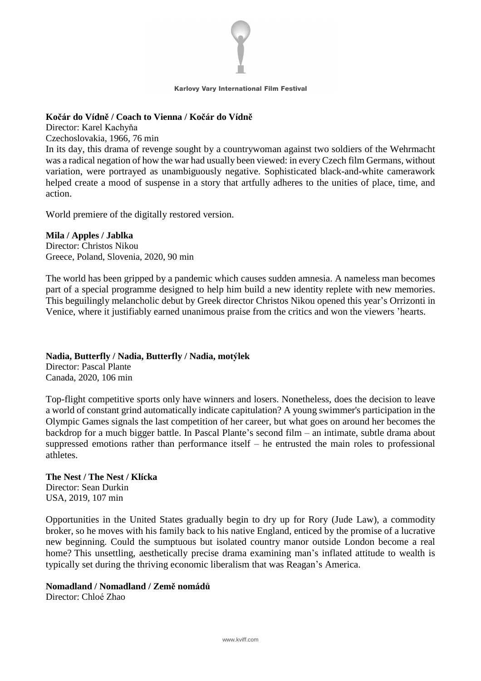

## **Kočár do Vídně / Coach to Vienna / Kočár do Vídně**

Director: Karel Kachyňa

Czechoslovakia, 1966, 76 min

In its day, this drama of revenge sought by a countrywoman against two soldiers of the Wehrmacht was a radical negation of how the war had usually been viewed: in every Czech film Germans, without variation, were portrayed as unambiguously negative. Sophisticated black-and-white camerawork helped create a mood of suspense in a story that artfully adheres to the unities of place, time, and action.

World premiere of the digitally restored version.

## **Mila / Apples / Jablka**

Director: Christos Nikou Greece, Poland, Slovenia, 2020, 90 min

The world has been gripped by a pandemic which causes sudden amnesia. A nameless man becomes part of a special programme designed to help him build a new identity replete with new memories. This beguilingly melancholic debut by Greek director Christos Nikou opened this year's Orrizonti in Venice, where it justifiably earned unanimous praise from the critics and won the viewers 'hearts.

## **Nadia, Butterfly / Nadia, Butterfly / Nadia, motýlek**

Director: Pascal Plante Canada, 2020, 106 min

Top-flight competitive sports only have winners and losers. Nonetheless, does the decision to leave a world of constant grind automatically indicate capitulation? A young swimmer's participation in the Olympic Games signals the last competition of her career, but what goes on around her becomes the backdrop for a much bigger battle. In Pascal Plante's second film – an intimate, subtle drama about suppressed emotions rather than performance itself – he entrusted the main roles to professional athletes.

# **The Nest / The Nest / Klícka**

Director: Sean Durkin USA, 2019, 107 min

Opportunities in the United States gradually begin to dry up for Rory (Jude Law), a commodity broker, so he moves with his family back to his native England, enticed by the promise of a lucrative new beginning. Could the sumptuous but isolated country manor outside London become a real home? This unsettling, aesthetically precise drama examining man's inflated attitude to wealth is typically set during the thriving economic liberalism that was Reagan's America.

## **Nomadland / Nomadland / Země nomádů**

Director: Chloé Zhao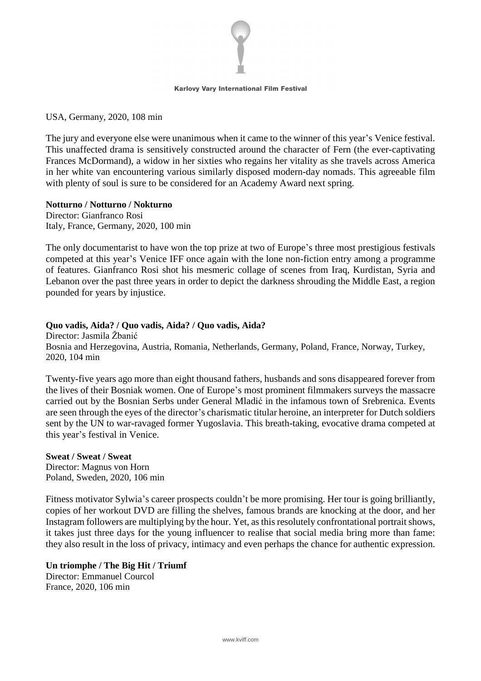

USA, Germany, 2020, 108 min

The jury and everyone else were unanimous when it came to the winner of this year's Venice festival. This unaffected drama is sensitively constructed around the character of Fern (the ever-captivating Frances McDormand), a widow in her sixties who regains her vitality as she travels across America in her white van encountering various similarly disposed modern-day nomads. This agreeable film with plenty of soul is sure to be considered for an Academy Award next spring.

#### **Notturno / Notturno / Nokturno**

Director: Gianfranco Rosi Italy, France, Germany, 2020, 100 min

The only documentarist to have won the top prize at two of Europe's three most prestigious festivals competed at this year's Venice IFF once again with the lone non-fiction entry among a programme of features. Gianfranco Rosi shot his mesmeric collage of scenes from Iraq, Kurdistan, Syria and Lebanon over the past three years in order to depict the darkness shrouding the Middle East, a region pounded for years by injustice.

## **Quo vadis, Aida? / Quo vadis, Aida? / Quo vadis, Aida?**

Director: Jasmila Žbanić Bosnia and Herzegovina, Austria, Romania, Netherlands, Germany, Poland, France, Norway, Turkey, 2020, 104 min

Twenty-five years ago more than eight thousand fathers, husbands and sons disappeared forever from the lives of their Bosniak women. One of Europe's most prominent filmmakers surveys the massacre carried out by the Bosnian Serbs under General Mladić in the infamous town of Srebrenica. Events are seen through the eyes of the director's charismatic titular heroine, an interpreter for Dutch soldiers sent by the UN to war-ravaged former Yugoslavia. This breath-taking, evocative drama competed at this year's festival in Venice.

## **Sweat / Sweat / Sweat**

Director: Magnus von Horn Poland, Sweden, 2020, 106 min

Fitness motivator Sylwia's career prospects couldn't be more promising. Her tour is going brilliantly, copies of her workout DVD are filling the shelves, famous brands are knocking at the door, and her Instagram followers are multiplying by the hour. Yet, asthisresolutely confrontational portraitshows, it takes just three days for the young influencer to realise that social media bring more than fame: they also result in the loss of privacy, intimacy and even perhaps the chance for authentic expression.

#### **Un triomphe / The Big Hit / Triumf** Director: Emmanuel Courcol France, 2020, 106 min